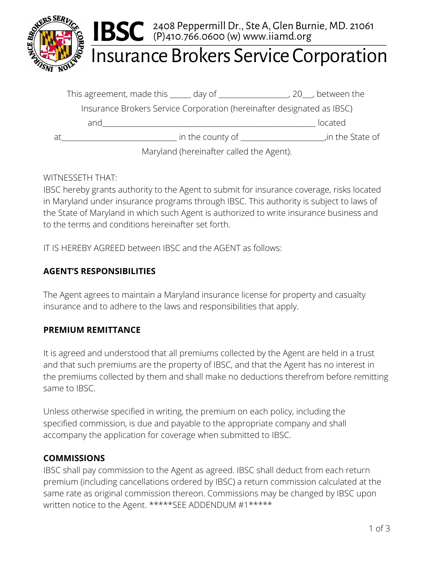

# **Insurance Brokers Service Corporation**

|    | This agreement, made this ______ day of _____________                  |                  |                                          | .20 , between the |
|----|------------------------------------------------------------------------|------------------|------------------------------------------|-------------------|
|    | Insurance Brokers Service Corporation (hereinafter designated as IBSC) |                  |                                          |                   |
|    | and                                                                    |                  |                                          | located           |
| Яt |                                                                        | in the county of |                                          | in the State of   |
|    |                                                                        |                  | Maryland (hereinafter called the Agent). |                   |

#### WITNESSETH THAT:

IBSC hereby grants authority to the Agent to submit for insurance coverage, risks located in Maryland under insurance programs through IBSC. This authority is subject to laws of the State of Maryland in which such Agent is authorized to write insurance business and to the terms and conditions hereinafter set forth.

IT IS HEREBY AGREED between IBSC and the AGENT as follows:

#### **AGENT'S RESPONSIBILITIES**

The Agent agrees to maintain a Maryland insurance license for property and casualty insurance and to adhere to the laws and responsibilities that apply.

#### **PREMIUM REMITTANCE**

It is agreed and understood that all premiums collected by the Agent are held in a trust and that such premiums are the property of IBSC, and that the Agent has no interest in the premiums collected by them and shall make no deductions therefrom before remitting same to IBSC.

Unless otherwise specified in writing, the premium on each policy, including the specified commission, is due and payable to the appropriate company and shall accompany the application for coverage when submitted to IBSC.

#### **COMMISSIONS**

IBSC shall pay commission to the Agent as agreed. IBSC shall deduct from each return premium (including cancellations ordered by IBSC) a return commission calculated at the same rate as original commission thereon. Commissions may be changed by IBSC upon written notice to the Agent. \*\*\*\*\*SEE ADDENDUM #1\*\*\*\*\*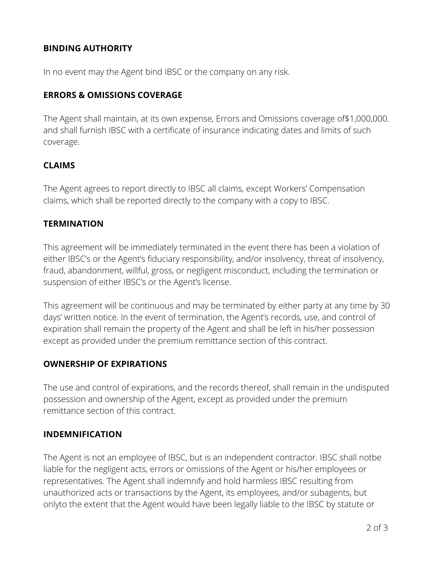#### **BINDING AUTHORITY**

In no event may the Agent bind IBSC or the company on any risk.

#### **ERRORS & OMISSIONS COVERAGE**

The Agent shall maintain, at its own expense, Errors and Omissions coverage of\$1,000,000. and shall furnish IBSC with a certificate of insurance indicating dates and limits of such coverage.

#### **CLAIMS**

The Agent agrees to report directly to IBSC all claims, except Workers' Compensation claims, which shall be reported directly to the company with a copy to IBSC.

#### **TERMINATION**

This agreement will be immediately terminated in the event there has been a violation of either IBSC's or the Agent's fiduciary responsibility, and/or insolvency, threat of insolvency, fraud, abandonment, willful, gross, or negligent misconduct, including the termination or suspension of either IBSC's or the Agent's license.

This agreement will be continuous and may be terminated by either party at any time by 30 days' written notice. In the event of termination, the Agent's records, use, and control of expiration shall remain the property of the Agent and shall be left in his/her possession except as provided under the premium remittance section of this contract.

#### **OWNERSHIP OF EXPIRATIONS**

The use and control of expirations, and the records thereof, shall remain in the undisputed possession and ownership of the Agent, except as provided under the premium remittance section of this contract.

#### **INDEMNIFICATION**

The Agent is not an employee of IBSC, but is an independent contractor. IBSC shall notbe liable for the negligent acts, errors or omissions of the Agent or his/her employees or representatives. The Agent shall indemnify and hold harmless IBSC resulting from unauthorized acts or transactions by the Agent, its employees, and/or subagents, but onlyto the extent that the Agent would have been legally liable to the IBSC by statute or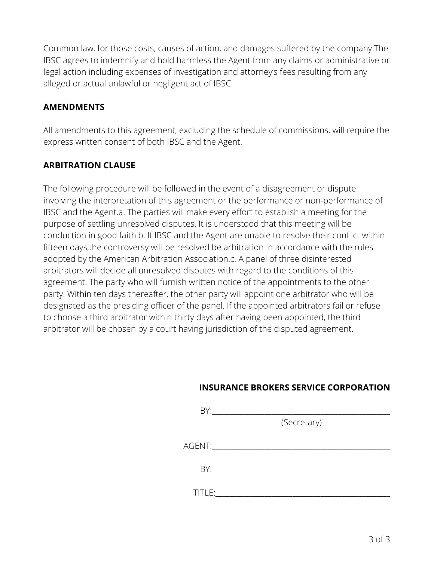Common law, for those costs, causes of action, and damages suffered by the company.The IBSC agrees to indemnify and hold harmless the Agent from any claims or administrative or legal action including expenses of investigation and attorney's fees resulting from any alleged or actual unlawful or negligent act of IBSC.

#### **AMENDMENTS**

All amendments to this agreement, excluding the schedule of commissions, will require the express written consent of both IBSC and the Agent.

#### **ARBITRATION CLAUSE**

The following procedure will be followed in the event of a disagreement or dispute involving the interpretation of this agreement or the performance or non-performance of IBSC and the Agent.a. The parties will make every effort to establish a meeting for the purpose of settling unresolved disputes. It is understood that this meeting will be conduction in good faith.b. If IBSC and the Agent are unable to resolve their conflict within fifteen days,the controversy will be resolved be arbitration in accordance with the rules adopted by the American Arbitration Association.c. A panel of three disinterested arbitrators will decide all unresolved disputes with regard to the conditions of this agreement. The party who will furnish written notice of the appointments to the other party. Within ten days thereafter, the other party will appoint one arbitrator who will be designated as the presiding officer of the panel. If the appointed arbitrators fail or refuse to choose a third arbitrator within thirty days after having been appointed, the third arbitrator will be chosen by a court having jurisdiction of the disputed agreement.

#### **INSURANCE BROKERS SERVICE CORPORATION**

| BY:    |             |  |
|--------|-------------|--|
|        | (Secretary) |  |
| AGENT: |             |  |
| BY:    |             |  |
|        |             |  |
| TITLE: |             |  |